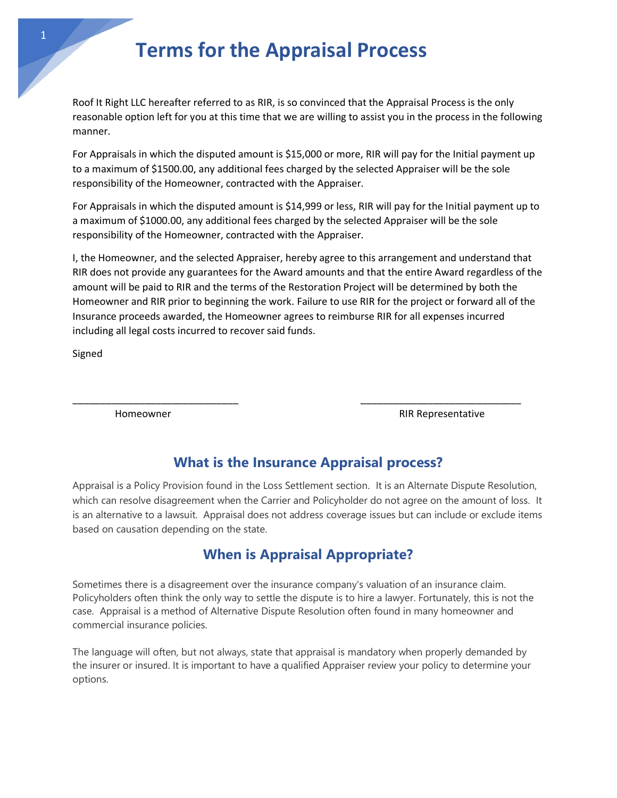# **Terms for the Appraisal Process**

Roof It Right LLC hereafter referred to as RIR, is so convinced that the Appraisal Process is the only reasonable option left for you at this time that we are willing to assist you in the process in the following manner.

For Appraisals in which the disputed amount is \$15,000 or more, RIR will pay for the Initial payment up to a maximum of \$1500.00, any additional fees charged by the selected Appraiser will be the sole responsibility of the Homeowner, contracted with the Appraiser.

For Appraisals in which the disputed amount is \$14,999 or less, RIR will pay for the Initial payment up to a maximum of \$1000.00, any additional fees charged by the selected Appraiser will be the sole responsibility of the Homeowner, contracted with the Appraiser.

I, the Homeowner, and the selected Appraiser, hereby agree to this arrangement and understand that RIR does not provide any guarantees for the Award amounts and that the entire Award regardless of the amount will be paid to RIR and the terms of the Restoration Project will be determined by both the Homeowner and RIR prior to beginning the work. Failure to use RIR for the project or forward all of the Insurance proceeds awarded, the Homeowner agrees to reimburse RIR for all expenses incurred including all legal costs incurred to recover said funds.

Signed

Homeowner **RIR Representative** 

### **What is the Insurance Appraisal process?**

\_\_\_\_\_\_\_\_\_\_\_\_\_\_\_\_\_\_\_\_\_\_\_\_\_\_\_\_\_\_ \_\_\_\_\_\_\_\_\_\_\_\_\_\_\_\_\_\_\_\_\_\_\_\_\_\_\_\_\_

Appraisal is a Policy Provision found in the Loss Settlement section. It is an Alternate Dispute Resolution, which can resolve disagreement when the Carrier and Policyholder do not agree on the amount of loss. It is an alternative to a lawsuit. Appraisal does not address coverage issues but can include or exclude items based on causation depending on the state.

## **When is Appraisal Appropriate?**

Sometimes there is a disagreement over the insurance company's valuation of an insurance claim. Policyholders often think the only way to settle the dispute is to hire a lawyer. Fortunately, this is not the case. Appraisal is a method of Alternative Dispute Resolution often found in many homeowner and commercial insurance policies.

The language will often, but not always, state that appraisal is mandatory when properly demanded by the insurer or insured. It is important to have a qualified Appraiser review your policy to determine your options.